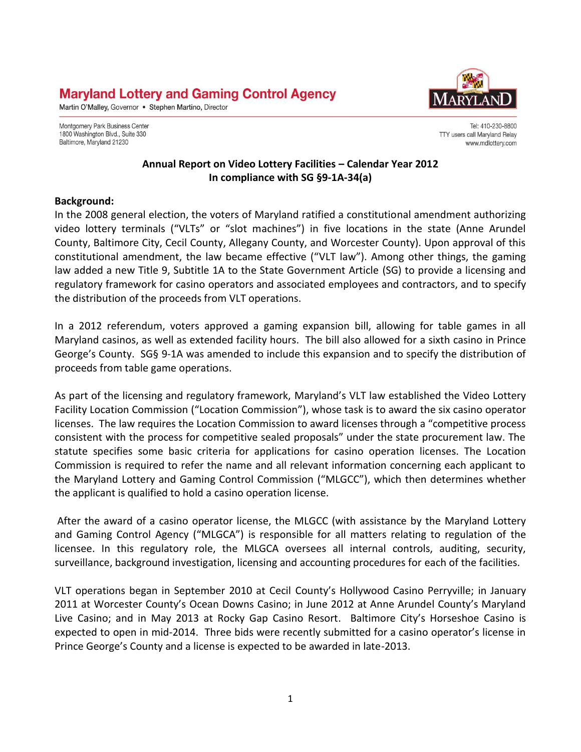# **Maryland Lottery and Gaming Control Agency**

Martin O'Malley, Governor . Stephen Martino, Director

Montgomery Park Business Center 1800 Washington Blvd., Suite 330 Baltimore, Maryland 21230



Tel: 410-230-8800 TTY users call Maryland Relay www.mdlottery.com

#### **Annual Report on Video Lottery Facilities – Calendar Year 2012 In compliance with SG §9-1A-34(a)**

#### **Background:**

In the 2008 general election, the voters of Maryland ratified a constitutional amendment authorizing video lottery terminals ("VLTs" or "slot machines") in five locations in the state (Anne Arundel County, Baltimore City, Cecil County, Allegany County, and Worcester County). Upon approval of this constitutional amendment, the law became effective ("VLT law"). Among other things, the gaming law added a new Title 9, Subtitle 1A to the State Government Article (SG) to provide a licensing and regulatory framework for casino operators and associated employees and contractors, and to specify the distribution of the proceeds from VLT operations.

In a 2012 referendum, voters approved a gaming expansion bill, allowing for table games in all Maryland casinos, as well as extended facility hours. The bill also allowed for a sixth casino in Prince George's County. SG§ 9-1A was amended to include this expansion and to specify the distribution of proceeds from table game operations.

As part of the licensing and regulatory framework, Maryland's VLT law established the Video Lottery Facility Location Commission ("Location Commission"), whose task is to award the six casino operator licenses. The law requires the Location Commission to award licenses through a "competitive process consistent with the process for competitive sealed proposals" under the state procurement law. The statute specifies some basic criteria for applications for casino operation licenses. The Location Commission is required to refer the name and all relevant information concerning each applicant to the Maryland Lottery and Gaming Control Commission ("MLGCC"), which then determines whether the applicant is qualified to hold a casino operation license.

After the award of a casino operator license, the MLGCC (with assistance by the Maryland Lottery and Gaming Control Agency ("MLGCA") is responsible for all matters relating to regulation of the licensee. In this regulatory role, the MLGCA oversees all internal controls, auditing, security, surveillance, background investigation, licensing and accounting procedures for each of the facilities.

VLT operations began in September 2010 at Cecil County's Hollywood Casino Perryville; in January 2011 at Worcester County's Ocean Downs Casino; in June 2012 at Anne Arundel County's Maryland Live Casino; and in May 2013 at Rocky Gap Casino Resort. Baltimore City's Horseshoe Casino is expected to open in mid-2014. Three bids were recently submitted for a casino operator's license in Prince George's County and a license is expected to be awarded in late-2013.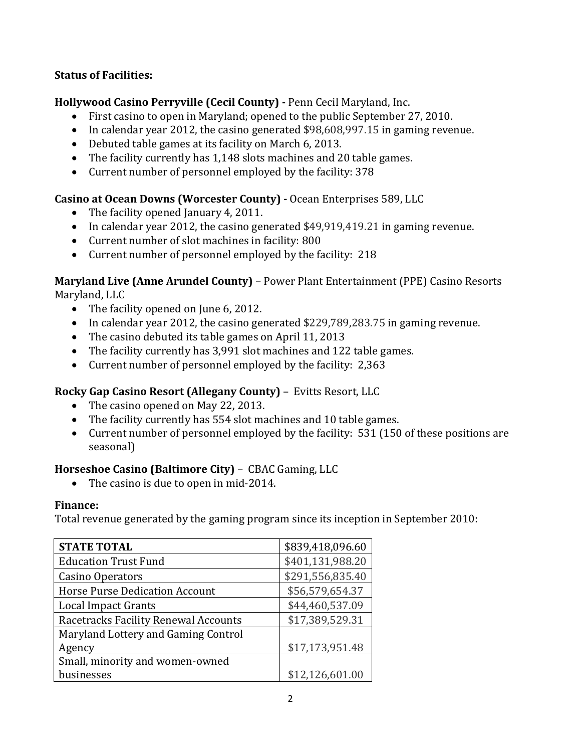#### **Status of Facilities:**

### **Hollywood Casino Perryville (Cecil County) -** Penn Cecil Maryland, Inc.

- First casino to open in Maryland; opened to the public September 27, 2010.
- In calendar year 2012, the casino generated \$98,608,997.15 in gaming revenue.
- Debuted table games at its facility on March 6, 2013.
- The facility currently has 1,148 slots machines and 20 table games.
- Current number of personnel employed by the facility: 378

### **Casino at Ocean Downs (Worcester County) -** Ocean Enterprises 589, LLC

- The facility opened January 4, 2011.
- In calendar year 2012, the casino generated \$49,919,419.21 in gaming revenue.
- Current number of slot machines in facility: 800
- Current number of personnel employed by the facility: 218

#### **Maryland Live (Anne Arundel County)** – Power Plant Entertainment (PPE) Casino Resorts Maryland, LLC

- The facility opened on June 6, 2012.
- In calendar year 2012, the casino generated \$229,789,283.75 in gaming revenue.
- The casino debuted its table games on April 11, 2013
- The facility currently has 3,991 slot machines and 122 table games.
- Current number of personnel employed by the facility: 2,363

### **Rocky Gap Casino Resort (Allegany County)** – Evitts Resort, LLC

- The casino opened on May 22, 2013.
- The facility currently has 554 slot machines and 10 table games.
- Current number of personnel employed by the facility: 531 (150 of these positions are seasonal)

### **Horseshoe Casino (Baltimore City)** – CBAC Gaming, LLC

• The casino is due to open in mid-2014.

### **Finance:**

Total revenue generated by the gaming program since its inception in September 2010:

| <b>STATE TOTAL</b>                    | \$839,418,096.60 |
|---------------------------------------|------------------|
| <b>Education Trust Fund</b>           | \$401,131,988.20 |
| Casino Operators                      | \$291,556,835.40 |
| <b>Horse Purse Dedication Account</b> | \$56,579,654.37  |
| <b>Local Impact Grants</b>            | \$44,460,537.09  |
| Racetracks Facility Renewal Accounts  | \$17,389,529.31  |
| Maryland Lottery and Gaming Control   |                  |
| Agency                                | \$17,173,951.48  |
| Small, minority and women-owned       |                  |
| businesses                            | \$12,126,601.00  |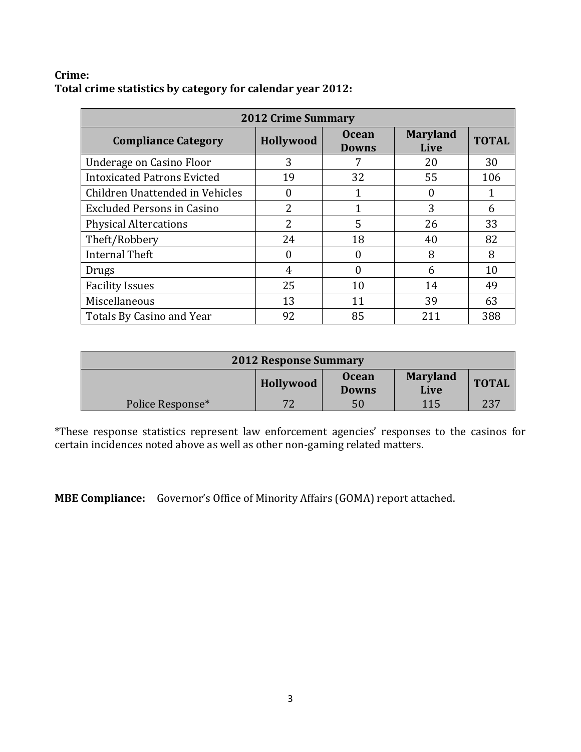#### **Crime: Total crime statistics by category for calendar year 2012:**

| <b>2012 Crime Summary</b>          |                |                              |                         |              |
|------------------------------------|----------------|------------------------------|-------------------------|--------------|
| <b>Compliance Category</b>         | Hollywood      | <b>Ocean</b><br><b>Downs</b> | <b>Maryland</b><br>Live | <b>TOTAL</b> |
| Underage on Casino Floor           | 3              | 7                            | 20                      | 30           |
| <b>Intoxicated Patrons Evicted</b> | 19             | 32                           | 55                      | 106          |
| Children Unattended in Vehicles    | 0              |                              |                         |              |
| <b>Excluded Persons in Casino</b>  | $\overline{2}$ | 1                            | 3                       | 6            |
| <b>Physical Altercations</b>       | $\overline{2}$ | 5                            | 26                      | 33           |
| Theft/Robbery                      | 24             | 18                           | 40                      | 82           |
| <b>Internal Theft</b>              | 0              | 0                            | 8                       | 8            |
| Drugs                              | 4              | $\theta$                     | 6                       | 10           |
| <b>Facility Issues</b>             | 25             | 10                           | 14                      | 49           |
| Miscellaneous                      | 13             | 11                           | 39                      | 63           |
| Totals By Casino and Year          | 92             | 85                           | 211                     | 388          |

| <b>2012 Response Summary</b>                                                         |    |    |     |     |
|--------------------------------------------------------------------------------------|----|----|-----|-----|
| <b>Maryland</b><br><b>Ocean</b><br><b>TOTAL</b><br>Hollywood<br>Live<br><b>Downs</b> |    |    |     |     |
| Police Response*                                                                     | 72 | 50 | 115 | 237 |

\*These response statistics represent law enforcement agencies' responses to the casinos for certain incidences noted above as well as other non-gaming related matters.

**MBE Compliance:** Governor's Office of Minority Affairs (GOMA) report attached.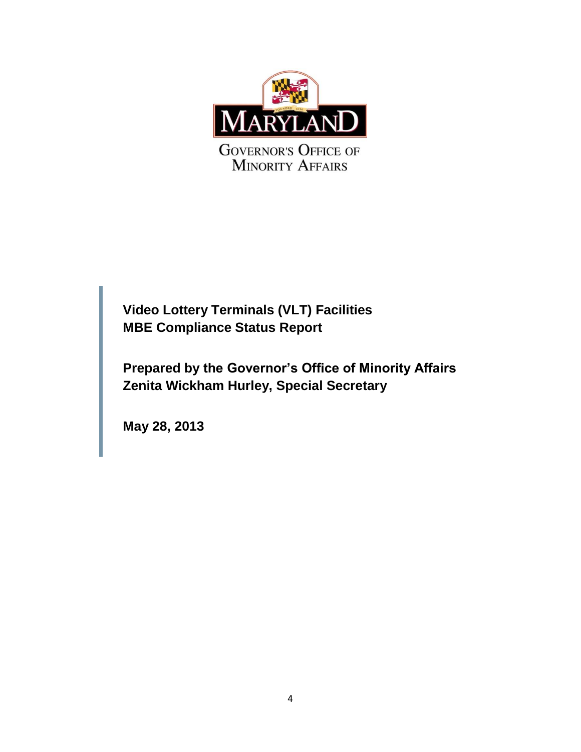

**Video Lottery Terminals (VLT) Facilities MBE Compliance Status Report**

**Prepared by the Governor's Office of Minority Affairs Zenita Wickham Hurley, Special Secretary**

**May 28, 2013**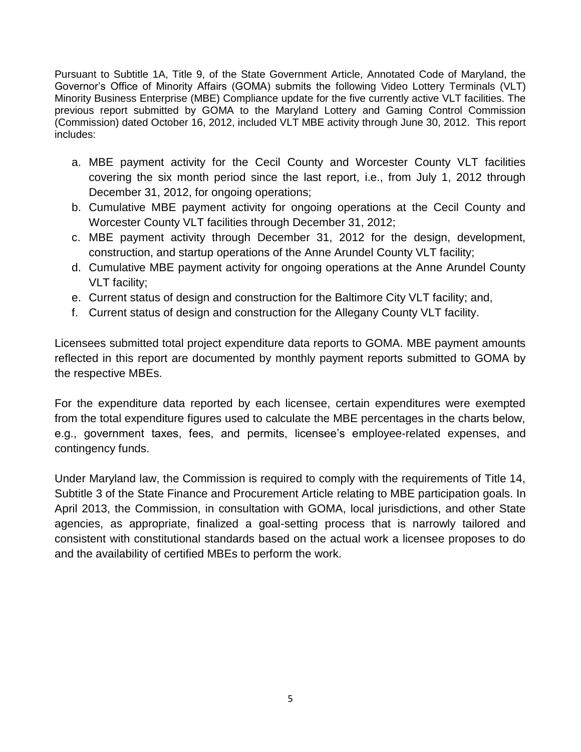Pursuant to Subtitle 1A, Title 9, of the State Government Article, Annotated Code of Maryland, the Governor's Office of Minority Affairs (GOMA) submits the following Video Lottery Terminals (VLT) Minority Business Enterprise (MBE) Compliance update for the five currently active VLT facilities. The previous report submitted by GOMA to the Maryland Lottery and Gaming Control Commission (Commission) dated October 16, 2012, included VLT MBE activity through June 30, 2012. This report includes:

- a. MBE payment activity for the Cecil County and Worcester County VLT facilities covering the six month period since the last report, i.e., from July 1, 2012 through December 31, 2012, for ongoing operations;
- b. Cumulative MBE payment activity for ongoing operations at the Cecil County and Worcester County VLT facilities through December 31, 2012;
- c. MBE payment activity through December 31, 2012 for the design, development, construction, and startup operations of the Anne Arundel County VLT facility;
- d. Cumulative MBE payment activity for ongoing operations at the Anne Arundel County VLT facility;
- e. Current status of design and construction for the Baltimore City VLT facility; and,
- f. Current status of design and construction for the Allegany County VLT facility.

Licensees submitted total project expenditure data reports to GOMA. MBE payment amounts reflected in this report are documented by monthly payment reports submitted to GOMA by the respective MBEs.

For the expenditure data reported by each licensee, certain expenditures were exempted from the total expenditure figures used to calculate the MBE percentages in the charts below, e.g., government taxes, fees, and permits, licensee's employee-related expenses, and contingency funds.

Under Maryland law, the Commission is required to comply with the requirements of Title 14, Subtitle 3 of the State Finance and Procurement Article relating to MBE participation goals. In April 2013, the Commission, in consultation with GOMA, local jurisdictions, and other State agencies, as appropriate, finalized a goal-setting process that is narrowly tailored and consistent with constitutional standards based on the actual work a licensee proposes to do and the availability of certified MBEs to perform the work.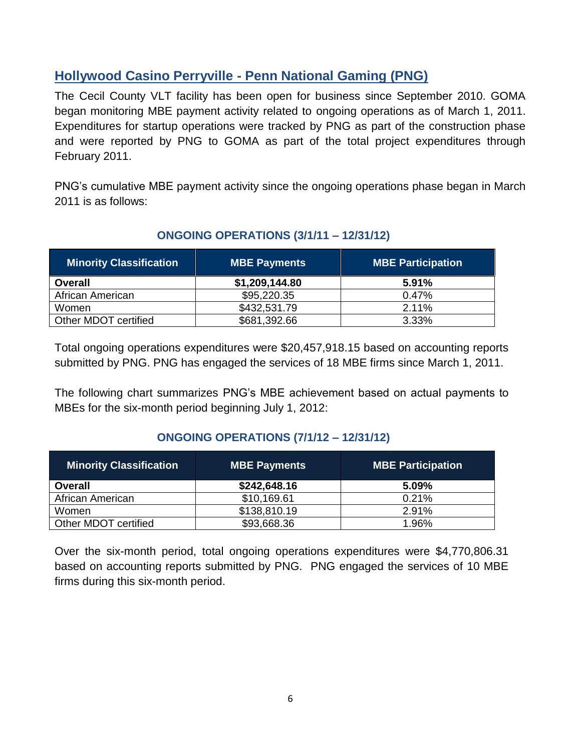## **Hollywood Casino Perryville - Penn National Gaming (PNG)**

The Cecil County VLT facility has been open for business since September 2010. GOMA began monitoring MBE payment activity related to ongoing operations as of March 1, 2011. Expenditures for startup operations were tracked by PNG as part of the construction phase and were reported by PNG to GOMA as part of the total project expenditures through February 2011.

PNG's cumulative MBE payment activity since the ongoing operations phase began in March 2011 is as follows:

| Minority Classification | <b>MBE Payments</b> | <b>MBE Participation</b> |
|-------------------------|---------------------|--------------------------|
| <b>Overall</b>          | \$1,209,144.80      | 5.91%                    |
| African American        | \$95,220.35         | 0.47%                    |
| Women                   | \$432,531.79        | 2.11%                    |
| Other MDOT certified    | \$681,392.66        | 3.33%                    |

### **ONGOING OPERATIONS (3/1/11 – 12/31/12)**

Total ongoing operations expenditures were \$20,457,918.15 based on accounting reports submitted by PNG. PNG has engaged the services of 18 MBE firms since March 1, 2011.

The following chart summarizes PNG's MBE achievement based on actual payments to MBEs for the six-month period beginning July 1, 2012:

### **ONGOING OPERATIONS (7/1/12 – 12/31/12)**

| <b>Minority Classification</b> | <b>MBE Payments</b> | <b>MBE Participation</b> |
|--------------------------------|---------------------|--------------------------|
| <b>Overall</b>                 | \$242,648.16        | 5.09%                    |
| African American               | \$10,169.61         | 0.21%                    |
| Women                          | \$138,810.19        | 2.91%                    |
| Other MDOT certified           | \$93,668.36         | 1.96%                    |

Over the six-month period, total ongoing operations expenditures were \$4,770,806.31 based on accounting reports submitted by PNG. PNG engaged the services of 10 MBE firms during this six-month period.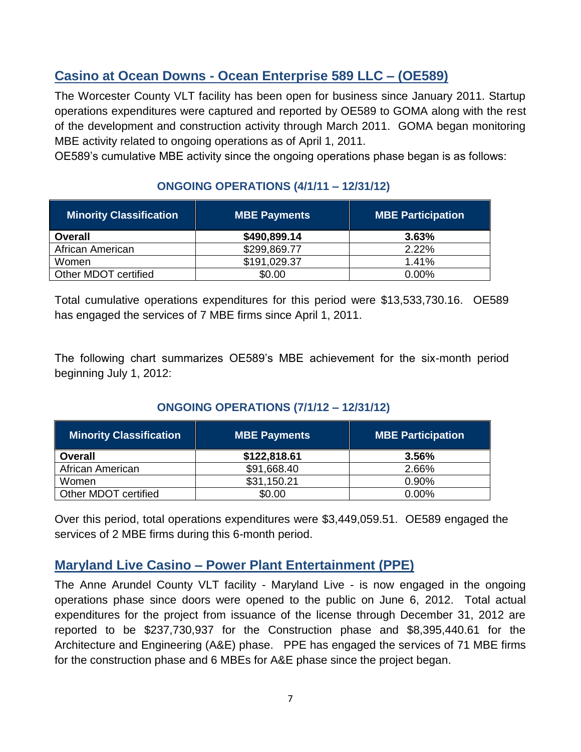# **Casino at Ocean Downs - Ocean Enterprise 589 LLC – (OE589)**

The Worcester County VLT facility has been open for business since January 2011. Startup operations expenditures were captured and reported by OE589 to GOMA along with the rest of the development and construction activity through March 2011. GOMA began monitoring MBE activity related to ongoing operations as of April 1, 2011.

OE589's cumulative MBE activity since the ongoing operations phase began is as follows:

### **ONGOING OPERATIONS (4/1/11 – 12/31/12)**

| <b>Minority Classification</b> | <b>MBE Payments</b> | <b>MBE Participation</b> |
|--------------------------------|---------------------|--------------------------|
| <b>Overall</b>                 | \$490,899.14        | 3.63%                    |
| African American               | \$299,869.77        | 2.22%                    |
| Women                          | \$191,029.37        | 1.41%                    |
| Other MDOT certified           | \$0.00              | $0.00\%$                 |

Total cumulative operations expenditures for this period were \$13,533,730.16. OE589 has engaged the services of 7 MBE firms since April 1, 2011.

The following chart summarizes OE589's MBE achievement for the six-month period beginning July 1, 2012:

### **ONGOING OPERATIONS (7/1/12 – 12/31/12)**

| <b>Minority Classification</b> | <b>MBE Payments</b> | <b>MBE Participation</b> |
|--------------------------------|---------------------|--------------------------|
| <b>Overall</b>                 | \$122,818.61        | 3.56%                    |
| African American               | \$91,668.40         | 2.66%                    |
| Women                          | \$31,150.21         | 0.90%                    |
| Other MDOT certified           | \$0.00              | $0.00\%$                 |

Over this period, total operations expenditures were \$3,449,059.51. OE589 engaged the services of 2 MBE firms during this 6-month period.

# **Maryland Live Casino – Power Plant Entertainment (PPE)**

The Anne Arundel County VLT facility - Maryland Live - is now engaged in the ongoing operations phase since doors were opened to the public on June 6, 2012. Total actual expenditures for the project from issuance of the license through December 31, 2012 are reported to be \$237,730,937 for the Construction phase and \$8,395,440.61 for the Architecture and Engineering (A&E) phase. PPE has engaged the services of 71 MBE firms for the construction phase and 6 MBEs for A&E phase since the project began.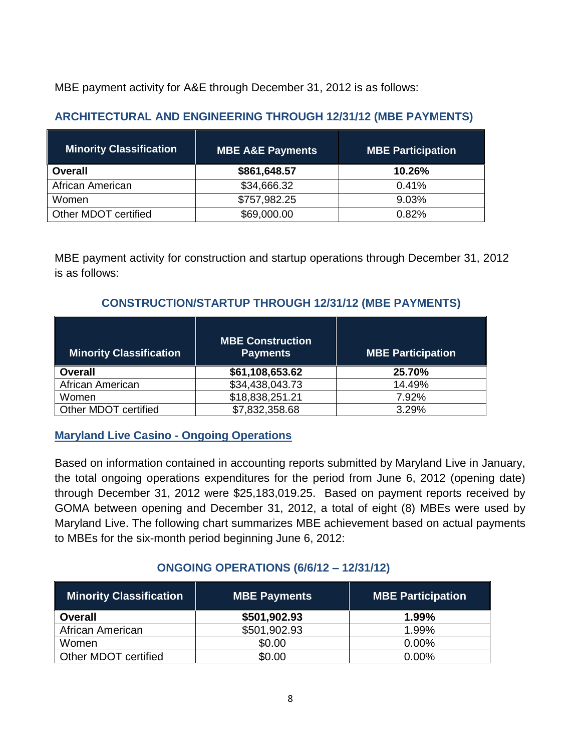MBE payment activity for A&E through December 31, 2012 is as follows:

### **ARCHITECTURAL AND ENGINEERING THROUGH 12/31/12 (MBE PAYMENTS)**

| <b>Minority Classification</b> | <b>MBE A&amp;E Payments</b> | <b>MBE Participation</b> |
|--------------------------------|-----------------------------|--------------------------|
| <b>Overall</b>                 | \$861,648.57                | 10.26%                   |
| African American               | \$34,666.32                 | 0.41%                    |
| Women                          | \$757,982.25                | 9.03%                    |
| Other MDOT certified           | \$69,000.00                 | 0.82%                    |

MBE payment activity for construction and startup operations through December 31, 2012 is as follows:

### **CONSTRUCTION/STARTUP THROUGH 12/31/12 (MBE PAYMENTS)**

| <b>Minority Classification</b> | <b>MBE Construction</b><br><b>Payments</b> | <b>MBE Participation</b> |
|--------------------------------|--------------------------------------------|--------------------------|
| <b>Overall</b>                 | \$61,108,653.62                            | 25.70%                   |
| African American               | \$34,438,043.73                            | 14.49%                   |
| Women                          | \$18,838,251.21                            | 7.92%                    |
| Other MDOT certified           | \$7,832,358.68                             | 3.29%                    |

#### **Maryland Live Casino - Ongoing Operations**

Based on information contained in accounting reports submitted by Maryland Live in January, the total ongoing operations expenditures for the period from June 6, 2012 (opening date) through December 31, 2012 were \$25,183,019.25. Based on payment reports received by GOMA between opening and December 31, 2012, a total of eight (8) MBEs were used by Maryland Live. The following chart summarizes MBE achievement based on actual payments to MBEs for the six-month period beginning June 6, 2012:

#### **ONGOING OPERATIONS (6/6/12 – 12/31/12)**

| <b>Minority Classification</b> | MBE Payments | <b>MBE Participation</b> |
|--------------------------------|--------------|--------------------------|
| <b>Overall</b>                 | \$501,902.93 | $1.99\%$                 |
| African American               | \$501,902.93 | 1.99%                    |
| Women                          | \$0.00       | $0.00\%$                 |
| Other MDOT certified           | \$0.00       | $0.00\%$                 |